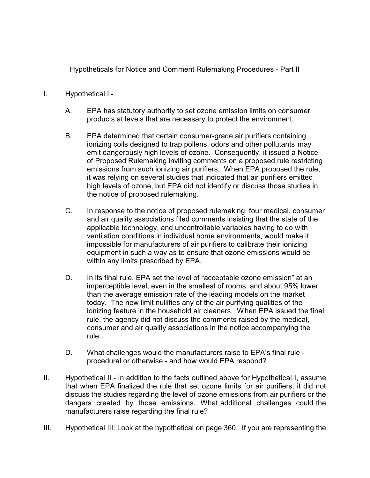Hypotheticals for Notice and Comment Rulemaking Procedures - Part II

- I. Hypothetical I
	- A. EPA has statutory authority to set ozone emission limits on consumer products at levels that are necessary to protect the environment.
	- B. EPA determined that certain consumer-grade air purifiers containing ionizing coils designed to trap pollens, odors and other pollutants may emit dangerously high levels of ozone. Consequently, it issued a Notice of Proposed Rulemaking inviting comments on a proposed rule restricting emissions from such ionizing air purifiers. When EPA proposed the rule, it was relying on several studies that indicated that air purifiers emitted high levels of ozone, but EPA did not identify or discuss those studies in the notice of proposed rulemaking.
	- C. In response to the notice of proposed rulemaking, four medical, consumer and air quality associations filed comments insisting that the state of the applicable technology, and uncontrollable variables having to do with ventilation conditions in individual home environments, would make it impossible for manufacturers of air purifiers to calibrate their ionizing equipment in such a way as to ensure that ozone emissions would be within any limits prescribed by EPA.
	- D. In its final rule, EPA set the level of "acceptable ozone emission" at an imperceptible level, even in the smallest of rooms, and about 95% lower than the average emission rate of the leading models on the market today. The new limit nullifies any of the air purifying qualities of the ionizing feature in the household air cleaners. When EPA issued the final rule, the agency did not discuss the comments raised by the medical, consumer and air quality associations in the notice accompanying the rule.
	- D. What challenges would the manufacturers raise to EPA's final rule procedural or otherwise - and how would EPA respond?
- II. Hypothetical II In addition to the facts outlined above for Hypothetical I, assume that when EPA finalized the rule that set ozone limits for air purifiers, it did not discuss the studies regarding the level of ozone emissions from air purifiers or the dangers created by those emissions. What additional challenges could the manufacturers raise regarding the final rule?
- III. Hypothetical III: Look at the hypothetical on page 360. If you are representing the